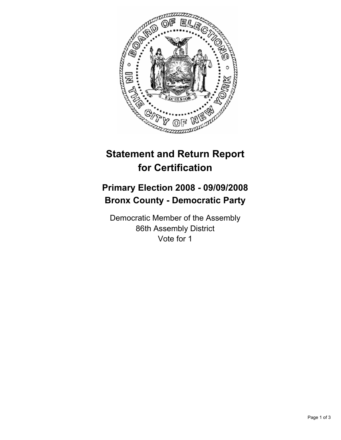

## **Statement and Return Report for Certification**

## **Primary Election 2008 - 09/09/2008 Bronx County - Democratic Party**

Democratic Member of the Assembly 86th Assembly District Vote for 1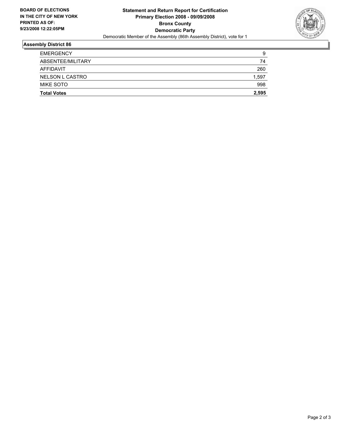

## **Assembly District 86**

| <b>EMERGENCY</b>   | 9     |
|--------------------|-------|
| ABSENTEE/MILITARY  | 74    |
| AFFIDAVIT          | 260   |
| NELSON L CASTRO    | 1,597 |
| MIKE SOTO          | 998   |
| <b>Total Votes</b> | 2,595 |